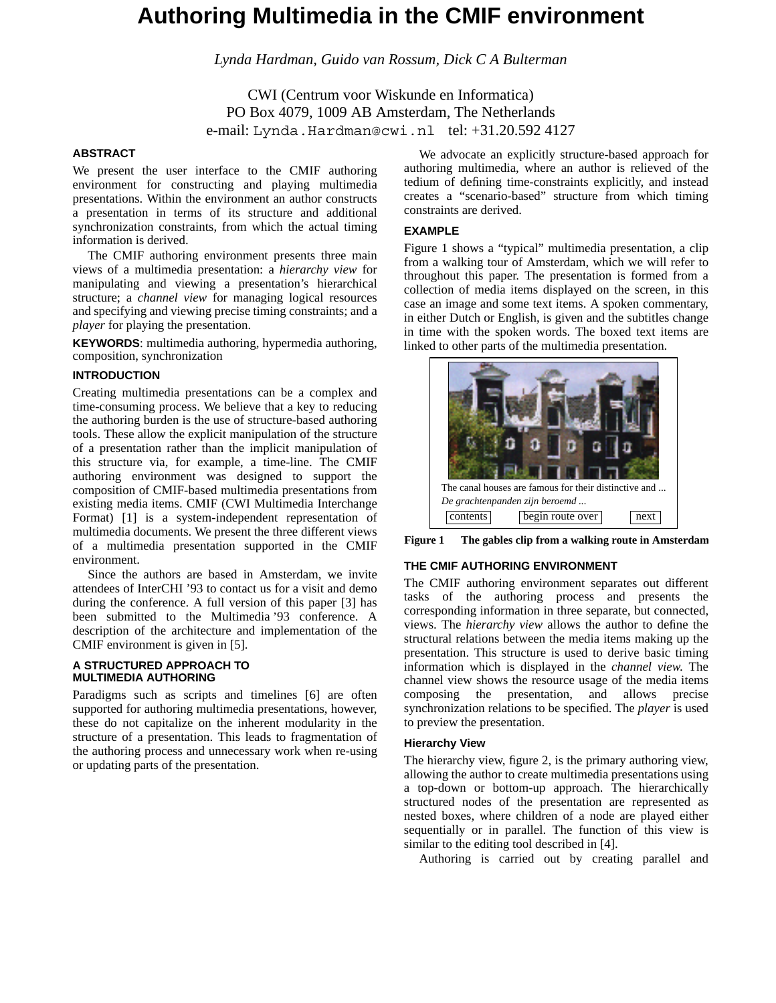# **Authoring Multimedia in the CMIF environment**

*Lynda Hardman, Guido van Rossum, Dick C A Bulterman*

CWI (Centrum voor Wiskunde en Informatica) PO Box 4079, 1009 AB Amsterdam, The Netherlands e-mail: Lynda.Hardman@cwi.nl tel: +31.20.592 4127

## **ABSTRACT**

We present the user interface to the CMIF authoring environment for constructing and playing multimedia presentations. Within the environment an author constructs a presentation in terms of its structure and additional synchronization constraints, from which the actual timing information is derived.

The CMIF authoring environment presents three main views of a multimedia presentation: a *hierarchy view* for manipulating and viewing a presentation's hierarchical structure; a *channel view* for managing logical resources and specifying and viewing precise timing constraints; and a *player* for playing the presentation.

**KEYWORDS**: multimedia authoring, hypermedia authoring, composition, synchronization

## **INTRODUCTION**

Creating multimedia presentations can be a complex and time-consuming process. We believe that a key to reducing the authoring burden is the use of structure-based authoring tools. These allow the explicit manipulation of the structure of a presentation rather than the implicit manipulation of this structure via, for example, a time-line. The CMIF authoring environment was designed to support the composition of CMIF-based multimedia presentations from existing media items. CMIF (CWI Multimedia Interchange Format) [1] is a system-independent representation of multimedia documents. We present the three different views of a multimedia presentation supported in the CMIF environment.

Since the authors are based in Amsterdam, we invite attendees of InterCHI '93 to contact us for a visit and demo during the conference. A full version of this paper [3] has been submitted to the Multimedia '93 conference. A description of the architecture and implementation of the CMIF environment is given in [5].

#### **A STRUCTURED APPROACH TO MULTIMEDIA AUTHORING**

Paradigms such as scripts and timelines [6] are often supported for authoring multimedia presentations, however, these do not capitalize on the inherent modularity in the structure of a presentation. This leads to fragmentation of the authoring process and unnecessary work when re-using or updating parts of the presentation.

We advocate an explicitly structure-based approach for authoring multimedia, where an author is relieved of the tedium of defining time-constraints explicitly, and instead creates a "scenario-based" structure from which timing constraints are derived.

### **EXAMPLE**

Figure 1 shows a "typical" multimedia presentation, a clip from a walking tour of Amsterdam, which we will refer to throughout this paper. The presentation is formed from a collection of media items displayed on the screen, in this case an image and some text items. A spoken commentary, in either Dutch or English, is given and the subtitles change in time with the spoken words. The boxed text items are linked to other parts of the multimedia presentation.



**Figure 1 The gables clip from a walking route in Amsterdam.**

#### **THE CMIF AUTHORING ENVIRONMENT**

The CMIF authoring environment separates out different tasks of the authoring process and presents the corresponding information in three separate, but connected, views. The *hierarchy view* allows the author to define the structural relations between the media items making up the presentation. This structure is used to derive basic timing information which is displayed in the *channel view*. The channel view shows the resource usage of the media items composing the presentation, and allows precise synchronization relations to be specified. The *player* is used to preview the presentation.

#### **Hierarchy View**

The hierarchy view, figure 2, is the primary authoring view, allowing the author to create multimedia presentations using a top-down or bottom-up approach. The hierarchically structured nodes of the presentation are represented as nested boxes, where children of a node are played either sequentially or in parallel. The function of this view is similar to the editing tool described in [4].

Authoring is carried out by creating parallel and